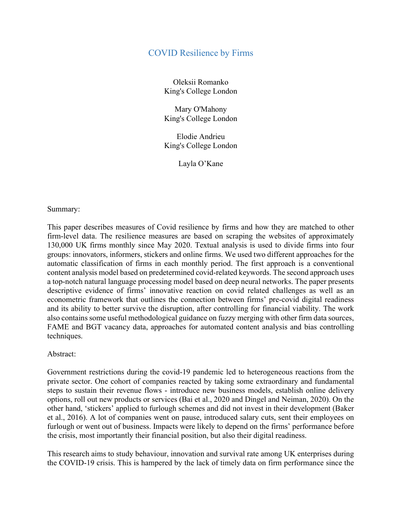## COVID Resilience by Firms

Oleksii Romanko King's College London

Mary O'Mahony King's College London

Elodie Andrieu King's College London

Layla O'Kane

## Summary:

This paper describes measures of Covid resilience by firms and how they are matched to other firm-level data. The resilience measures are based on scraping the websites of approximately 130,000 UK firms monthly since May 2020. Textual analysis is used to divide firms into four groups: innovators, informers, stickers and online firms. We used two different approaches for the automatic classification of firms in each monthly period. The first approach is a conventional content analysis model based on predetermined covid-related keywords. The second approach uses a top-notch natural language processing model based on deep neural networks. The paper presents descriptive evidence of firms' innovative reaction on covid related challenges as well as an econometric framework that outlines the connection between firms' pre-covid digital readiness and its ability to better survive the disruption, after controlling for financial viability. The work also contains some useful methodological guidance on fuzzy merging with other firm data sources, FAME and BGT vacancy data, approaches for automated content analysis and bias controlling techniques.

## Abstract:

Government restrictions during the covid-19 pandemic led to heterogeneous reactions from the private sector. One cohort of companies reacted by taking some extraordinary and fundamental steps to sustain their revenue flows - introduce new business models, establish online delivery options, roll out new products or services (Bai et al., 2020 and Dingel and Neiman, 2020). On the other hand, 'stickers' applied to furlough schemes and did not invest in their development (Baker et al., 2016). A lot of companies went on pause, introduced salary cuts, sent their employees on furlough or went out of business. Impacts were likely to depend on the firms' performance before the crisis, most importantly their financial position, but also their digital readiness.

This research aims to study behaviour, innovation and survival rate among UK enterprises during the COVID-19 crisis. This is hampered by the lack of timely data on firm performance since the